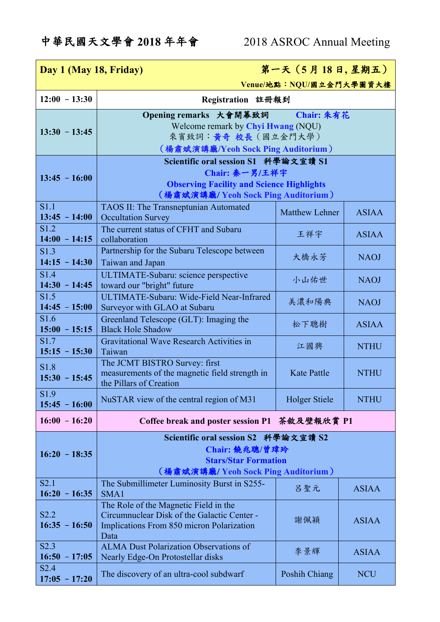| 第一天 (5月18日,星期五)<br>Day 1 (May 18, Friday) |                                                                                                                                                   |                       |              |
|-------------------------------------------|---------------------------------------------------------------------------------------------------------------------------------------------------|-----------------------|--------------|
| Venue/地點: NQU/國立金門大學圖資大樓                  |                                                                                                                                                   |                       |              |
| $12:00 - 13:30$                           | Registration 註冊報到                                                                                                                                 |                       |              |
| $13:30 - 13:45$                           | Opening remarks 大會開幕致詞 Chair: 朱有花<br>Welcome remark by Chyi Hwang (NQU)<br>來賓致詞:黃奇 校長(國立金門大學)<br>(楊肅斌演講廳/Yeoh Sock Ping Auditorium)               |                       |              |
| $13:45 - 16:00$                           | Scientific oral session S1 科學論文宣讀 S1<br>Chair: 秦一男/王祥宇<br><b>Observing Facility and Science Highlights</b><br>(楊肅斌演講廳/ Yeoh Sock Ping Auditorium) |                       |              |
| S1.1<br>$13:45 - 14:00$                   | TAOS II: The Transneptunian Automated<br><b>Occultation Survey</b>                                                                                | <b>Matthew Lehner</b> | <b>ASIAA</b> |
| S1.2<br>$14:00 - 14:15$                   | The current status of CFHT and Subaru<br>collaboration                                                                                            | 王祥宇                   | <b>ASIAA</b> |
| S <sub>1.3</sub><br>$14:15 - 14:30$       | Partnership for the Subaru Telescope between<br>Taiwan and Japan                                                                                  | 大橋永芳                  | <b>NAOJ</b>  |
| S1.4<br>$14:30 - 14:45$                   | ULTIMATE-Subaru: science perspective<br>toward our "bright" future                                                                                | 小山佑世                  | <b>NAOJ</b>  |
| S1.5<br>$14:45 - 15:00$                   | ULTIMATE-Subaru: Wide-Field Near-Infrared<br>Surveyor with GLAO at Subaru                                                                         | 美濃和陽典                 | <b>NAOJ</b>  |
| S <sub>1.6</sub><br>$15:00 - 15:15$       | Greenland Telescope (GLT): Imaging the<br><b>Black Hole Shadow</b>                                                                                | 松下聰樹                  | <b>ASIAA</b> |
| S1.7<br>$15:15 - 15:30$                   | Gravitational Wave Research Activities in<br>Taiwan                                                                                               | 江國興                   | <b>NTHU</b>  |
| S1.8<br>$15:30 - 15:45$                   | The JCMT BISTRO Survey: first<br>measurements of the magnetic field strength in<br>the Pillars of Creation                                        | <b>Kate Pattle</b>    | <b>NTHU</b>  |
| S1.9<br>$15:45 - 16:00$                   | NuSTAR view of the central region of M31                                                                                                          | <b>Holger Stiele</b>  | <b>NTHU</b>  |
| $16:00 - 16:20$                           | Coffee break and poster session P1                                                                                                                | 茶敘及壁報欣賞 P1            |              |
| $16:20 - 18:35$                           | Scientific oral session S2 科學論文宣讀 S2<br>Chair: 饒兆聰/曾瑋玲<br><b>Stars/Star Formation</b><br>(楊肅斌演講廳/ Yeoh Sock Ping Auditorium)                      |                       |              |
| S2.1<br>$16:20 - 16:35$                   | The Submillimeter Luminosity Burst in S255-<br>SMA1                                                                                               | 呂聖元                   | <b>ASIAA</b> |
| S2.2<br>$16:35 - 16:50$                   | The Role of the Magnetic Field in the<br>Circumnuclear Disk of the Galactic Center -<br>Implications From 850 micron Polarization<br>Data         | 謝佩穎                   | <b>ASIAA</b> |
| S2.3<br>$16:50 - 17:05$                   | <b>ALMA Dust Polarization Observations of</b><br>Nearly Edge-On Protostellar disks                                                                | 李景輝                   | <b>ASIAA</b> |
| S2.4<br>$17:05 - 17:20$                   | The discovery of an ultra-cool subdwarf                                                                                                           | <b>Poshih Chiang</b>  | <b>NCU</b>   |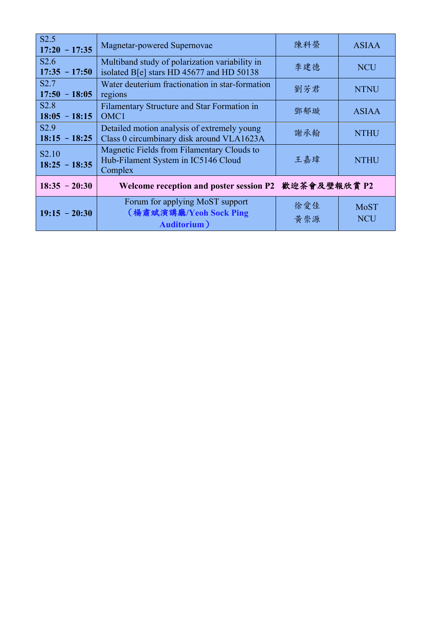| S2.5<br>$17:20 - 17:35$              | Magnetar-powered Supernovae                                                                  | 陳科榮        | <b>ASIAA</b>              |
|--------------------------------------|----------------------------------------------------------------------------------------------|------------|---------------------------|
| S2.6<br>$17:35 - 17:50$              | Multiband study of polarization variability in<br>isolated B[e] stars HD 45677 and HD 50138  | 李建德        | <b>NCU</b>                |
| S2.7<br>$17:50 - 18:05$              | Water deuterium fractionation in star-formation<br>regions                                   | 劉芳君        | <b>NTNU</b>               |
| S2.8<br>$18:05 - 18:15$              | Filamentary Structure and Star Formation in<br>OMC1                                          | 鄧郁璇        | <b>ASIAA</b>              |
| S2.9<br>$18:15 - 18:25$              | Detailed motion analysis of extremely young<br>Class 0 circumbinary disk around VLA1623A     | 謝承翰        | <b>NTHU</b>               |
| S <sub>2.10</sub><br>$18:25 - 18:35$ | Magnetic Fields from Filamentary Clouds to<br>Hub-Filament System in IC5146 Cloud<br>Complex | 王嘉瑋        | <b>NTHU</b>               |
| $18:35 - 20:30$                      | Welcome reception and poster session P2 歡迎茶會及壁報欣賞 P2                                         |            |                           |
| $19:15 - 20:30$                      | Forum for applying MoST support<br>(楊肅斌演講廳/Yeoh Sock Ping<br><b>Auditorium</b>               | 徐愛佳<br>黄崇源 | <b>MoST</b><br><b>NCU</b> |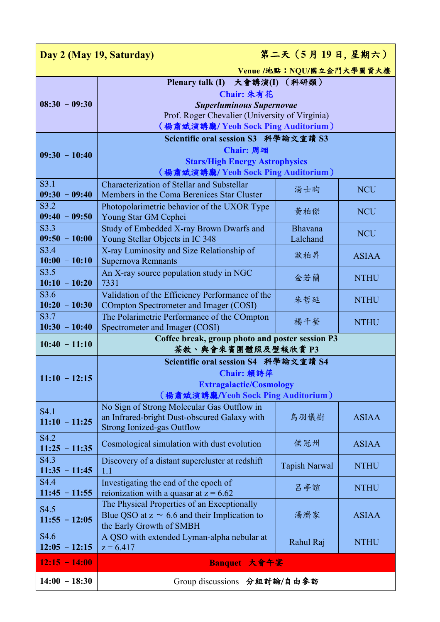| 第二天 (5月19日,星期六)<br>Day 2 (May 19, Saturday) |                                                                                                                                   |                            |              |  |
|---------------------------------------------|-----------------------------------------------------------------------------------------------------------------------------------|----------------------------|--------------|--|
|                                             | Venue /地點: NQU/國立金門大學圖資大樓                                                                                                         |                            |              |  |
| $08:30 - 09:30$                             | Plenary talk (I) 大會講演(I)<br>Chair: 朱有花<br><b>Superluminous Supernovae</b><br>Prof. Roger Chevalier (University of Virginia)       | (科研類)                      |              |  |
|                                             | (楊肅斌演講廳/ Yeoh Sock Ping Auditorium)                                                                                               |                            |              |  |
| $09:30 - 10:40$                             | Scientific oral session S3 科學論文宣讀 S3<br>Chair: 周翊<br><b>Stars/High Energy Astrophysics</b><br>(楊肅斌演講廳/ Yeoh Sock Ping Auditorium) |                            |              |  |
| S3.1<br>$09:30 - 09:40$                     | Characterization of Stellar and Substellar<br>Members in the Coma Berenices Star Cluster                                          | 湯士昀                        | <b>NCU</b>   |  |
| S3.2<br>$09:40 - 09:50$                     | Photopolarimetric behavior of the UXOR Type<br>Young Star GM Cephei                                                               | 黄柏傑                        | <b>NCU</b>   |  |
| S3.3<br>$09:50 - 10:00$                     | Study of Embedded X-ray Brown Dwarfs and<br>Young Stellar Objects in IC 348                                                       | <b>Bhavana</b><br>Lalchand | <b>NCU</b>   |  |
| S3.4<br>$10:00 - 10:10$                     | X-ray Luminosity and Size Relationship of<br><b>Supernova Remnants</b>                                                            | 歐柏昇                        | <b>ASIAA</b> |  |
| S3.5<br>$10:10 - 10:20$                     | An X-ray source population study in NGC<br>7331                                                                                   | 金若蘭                        | <b>NTHU</b>  |  |
| S3.6<br>$10:20 - 10:30$                     | Validation of the Efficiency Performance of the<br>COmpton Spectrometer and Imager (COSI)                                         | 朱哲延                        | <b>NTHU</b>  |  |
| S3.7<br>$10:30 - 10:40$                     | The Polarimetric Performance of the COmpton<br>Spectrometer and Imager (COSI)                                                     | 楊千瑩                        | <b>NTHU</b>  |  |
| $10:40 - 11:10$                             | Coffee break, group photo and poster session P3<br>茶敘、與會來賓團體照及壁報欣賞 P3                                                             |                            |              |  |
| $11:10 - 12:15$                             | Scientific oral session S4 科學論文宣讀 S4<br>Chair: 賴詩萍<br><b>Extragalactic/Cosmology</b><br>(楊肅斌演講廳/Yeoh Sock Ping Auditorium)        |                            |              |  |
| S4.1<br>$11:10 - 11:25$                     | No Sign of Strong Molecular Gas Outflow in<br>an Infrared-bright Dust-obscured Galaxy with<br><b>Strong Ionized-gas Outflow</b>   | 鳥羽儀樹                       | <b>ASIAA</b> |  |
| S4.2<br>$11:25 - 11:35$                     | Cosmological simulation with dust evolution                                                                                       | 侯冠州                        | <b>ASIAA</b> |  |
| S <sub>4.3</sub><br>$11:35 - 11:45$         | Discovery of a distant supercluster at redshift<br>1.1                                                                            | <b>Tapish Narwal</b>       | <b>NTHU</b>  |  |
| S <sub>4.4</sub><br>$11:45 - 11:55$         | Investigating the end of the epoch of<br>reionization with a quasar at $z = 6.62$                                                 | 呂亭誼                        | <b>NTHU</b>  |  |
| S4.5<br>$11:55 - 12:05$                     | The Physical Properties of an Exceptionally<br>Blue QSO at $z \sim 6.6$ and their Implication to<br>the Early Growth of SMBH      | 湯濟家                        | <b>ASIAA</b> |  |
| S <sub>4.6</sub><br>$12:05 - 12:15$         | A QSO with extended Lyman-alpha nebular at<br>$z = 6.417$                                                                         | Rahul Raj                  | <b>NTHU</b>  |  |
| $12:15 - 14:00$                             | Banquet 大會午宴                                                                                                                      |                            |              |  |
| $14:00 - 18:30$                             | Group discussions 分組討論/自由參訪                                                                                                       |                            |              |  |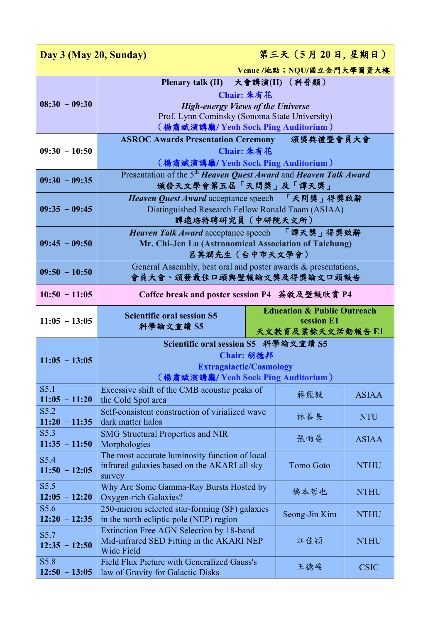| Day 3 (May 20, Sunday)          |                                                                                                                                                                                    |                                                                          | 第三天 (5月20日,星期日)  |              |
|---------------------------------|------------------------------------------------------------------------------------------------------------------------------------------------------------------------------------|--------------------------------------------------------------------------|------------------|--------------|
| Venue /地點: NQU/國立金門大學圖資大樓       |                                                                                                                                                                                    |                                                                          |                  |              |
| $08:30 - 09:30$                 | Plenary talk (II) 大會講演(II) (科普類)<br>Chair: 朱有花<br><b>High-energy Views of the Universe</b><br>Prof. Lynn Cominsky (Sonoma State University)<br>(楊肅斌演講廳/ Yeoh Sock Ping Auditorium) |                                                                          |                  |              |
| $09:30 - 10:50$                 | ASROC Awards Presentation Ceremony 頒獎典禮暨會員大會<br>Chair: 朱有花<br>(楊肅斌演講廳/Yeoh Sock Ping Auditorium)                                                                                   |                                                                          |                  |              |
| $09:30 - 09:35$                 | Presentation of the 5 <sup>th</sup> Heaven Quest Award and Heaven Talk Award<br>頒發天文學會第五屆「天問獎」及「譚天獎」                                                                               |                                                                          |                  |              |
| $09:35 - 09:45$                 | Heaven Quest Award acceptance speech 「天問獎」得獎致辭<br>Distinguished Research Fellow Ronald Taam (ASIAA)<br>譚遠培特聘研究員 (中研院天文所)                                                           |                                                                          |                  |              |
| $09:45 - 09:50$                 | Heaven Talk Award acceptance speech 「譚天獎」得獎致辭<br>Mr. Chi-Jen Lu (Astronomical Association of Taichung)<br>吕其潤先生 (台中市天文學會)                                                          |                                                                          |                  |              |
| $09:50 - 10:50$                 | General Assembly, best oral and poster awards & presentations,<br>會員大會、頒發最佳口頭與壁報論文獎及得獎論文口頭報告                                                                                       |                                                                          |                  |              |
| $10:50 - 11:05$                 | Coffee break and poster session P4 茶敘及壁報欣賞 P4                                                                                                                                      |                                                                          |                  |              |
| $11:05 - 13:05$                 | <b>Scientific oral session S5</b>                                                                                                                                                  | <b>Education &amp; Public Outreach</b><br>session E1<br>天文教育及業餘天文活動報告 E1 |                  |              |
|                                 | 科學論文宣讀 S5                                                                                                                                                                          |                                                                          |                  |              |
| $11:05 - 13:05$                 | Scientific oral session S5 科學論文宣讀 S5<br><b>Extragalactic/Cosmology</b><br>(楊肅斌演講廳/ Yeoh Sock Ping Auditorium)                                                                      | Chair: 胡德邦                                                               |                  |              |
| S5.1<br>$11:05 - 11:20$         | Excessive shift of the CMB acoustic peaks of<br>the Cold Spot area                                                                                                                 |                                                                          | 蔣龍毅              | <b>ASIAA</b> |
| S5.2<br>$11:20 - 11:35$         | Self-consistent construction of virialized wave<br>dark matter halos                                                                                                               |                                                                          | 林善長              | <b>NTU</b>   |
| S5.3<br>$11:35 - 11:50$         | <b>SMG Structural Properties and NIR</b><br>Morphologies                                                                                                                           |                                                                          | 張雨晏              | <b>ASIAA</b> |
| S5.4<br>$11:50 - 12:05$         | The most accurate luminosity function of local<br>infrared galaxies based on the AKARI all sky<br>survey                                                                           |                                                                          | <b>Tomo Goto</b> | <b>NTHU</b>  |
| S5.5<br>$12:05 - 12:20$         | Why Are Some Gamma-Ray Bursts Hosted by<br>Oxygen-rich Galaxies?                                                                                                                   |                                                                          | 橋本哲也             | <b>NTHU</b>  |
| S5.6<br>$12:20 - 12:35$         | 250-micron selected star-forming (SF) galaxies<br>in the north ecliptic pole (NEP) region                                                                                          |                                                                          | Seong-Jin Kim    | <b>NTHU</b>  |
| S5.7<br>$12:35 - 12:50$<br>S5.8 | <b>Extinction Free AGN Selection by 18-band</b><br>Mid-infrared SED Fitting in the AKARI NEP<br>Wide Field<br>Field Flux Picture with Generalized Gauss's                          |                                                                          | 江佳穎              | <b>NTHU</b>  |